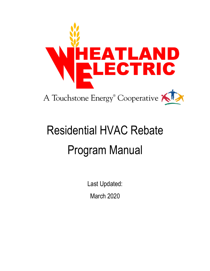

# Residential HVAC Rebate Program Manual

Last Updated: March 2020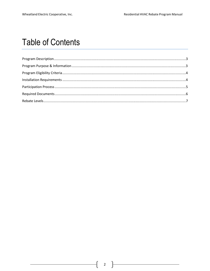# **Table of Contents**

L.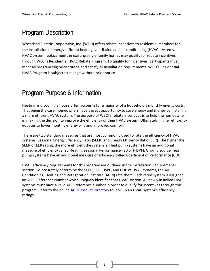# Program Description

Wheatland Electric Cooperative, Inc. (WECI) offers rebate incentives to residential members for the installation of energy-efficient heating, ventilation and air conditioning (HVAC) systems. HVAC system replacements in existing single-family homes may qualify for rebate incentives through WECI's Residential HVAC Rebate Program. To qualify for incentives, participants must meet all program eligibility criteria and satisfy all installation requirements. WECI's Residential HVAC Program is subject to change without prior notice.

# Program Purpose & Information

Heating and cooling a house often accounts for a majority of a household's monthly energy costs. That being the case, homeowners have a great opportunity to save energy and money by installing a more efficient HVAC system. The purpose of WECI's rebate incentives is to help the homeowner in making the decision to improve the efficiency of their HVAC system. Ultimately, higher efficiency equates to lower monthly energy bills and improved comfort.

There are two standard measures that are most commonly used to rate the efficiency of HVAC systems, Seasonal Energy Efficiency Ratio (SEER) and Energy Efficiency Ratio (EER). The higher the SEER or EER rating, the more efficient the system is. Heat pump systems have an additional measure of efficiency called Heating Seasonal Performance Factor (HSPF). Ground source heat pump systems have an additional measure of efficiency called Coefficient of Performance (COP).

HVAC efficiency requirements for this program are outlined in the Installation Requirements section. To accurately determine the SEER, EER, HSPF, and COP of HVAC systems, the Air-Conditioning, Heating and Refrigeration Institute (AHRI) rate them. Each rated system is assigned an AHRI Reference Number which uniquely identifies that HVAC system. All newly installed HVAC systems must have a valid AHRI reference number in order to qualify for incentives through this program. Refer to the online [AHRI Product Directory](http://www.ahridirectory.org/ahridirectory) to look up an HVAC system's efficiency ratings.

3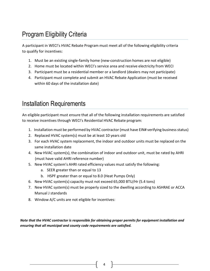# Program Eligibility Criteria

A participant in WECI's HVAC Rebate Program must meet all of the following eligibility criteria to qualify for incentives:

- 1. Must be an existing single-family home (new-construction homes are not eligible)
- 2. Home must be located within WECI's service area and receive electricity from WECI
- 3. Participant must be a residential member or a landlord (dealers may not participate)
- 4. Participant must complete and submit an HVAC Rebate Application (must be received within 60 days of the installation date)

# Installation Requirements

An eligible participant must ensure that all of the following installation requirements are satisfied to receive incentives through WECI's Residential HVAC Rebate program:

- 1. Installation must be performed by HVAC contractor (must have EIN# verifying business status)
- 2. Replaced HVAC system(s) must be at least 10 years old
- 3. For each HVAC system replacement, the indoor and outdoor units must be replaced on the same installation date
- 4. New HVAC system(s), the combination of indoor and outdoor unit, must be rated by AHRI (must have valid AHRI reference number)
- 5. New HVAC system's AHRI rated efficiency values must satisfy the following:
	- a. SEER greater than or equal to 13
	- b. HSPF greater than or equal to 8.0 (Heat Pumps Only)
- 6. New HVAC system(s) capacity must not exceed 65,000 BTU/Hr (5.4 tons)
- 7. New HVAC system(s) must be properly sized to the dwelling according to ASHRAE or ACCA Manual J standards
- 8. Window A/C units are not eligible for incentives:

*Note that the HVAC contractor is responsible for obtaining proper permits for equipment installation and ensuring that all municipal and county code requirements are satisfied.*

4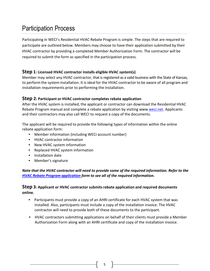# Participation Process

Participating in WECI's Residential HVAC Rebate Program is simple. The steps that are required to participate are outlined below. Members may choose to have their application submitted by their HVAC contractor by providing a completed Member Authorization Form. The contractor will be required to submit the form as specified in the participation process.

#### **Step 1: Licensed HVAC contractor installs eligible HVAC system(s)**

Member may select any HVAC contractor, that is registered as a valid business with the State of Kansas, to perform the system installation. It is ideal for the HVAC contractor to be aware of all program and installation requirements prior to performing the installation.

#### **Step 2: Participant or HVAC contractor completes rebate application**

After the HVAC system is installed, the applicant or contractor can download the Residential HVAC Rebate Program manual and complete a rebate application by visiting www[.weci.net.](http://www.weci.net/content/energy-efficiency-rebates) Applicants and their contractors may also call WECI to request a copy of the documents.

The applicant will be required to provide the following types of information within the online rebate application form:

- Member information (including WECI account number)
- HVAC contractor information
- New HVAC system information
- Replaced HVAC system information
- Installation date
- Member's signature

#### *Note that the HVAC contractor will need to provide some of the required information. Refer to the [HVAC Rebate Program application f](http://weci.coopwebbuilder.com/sites/weci.coopwebbuilder.com/files/weci-hvac-rebate-application.pdf)orm to see all of the required information.*

#### **Step 3: Applicant or HVAC contractor submits rebate application and required documents online.**

- Participants must provide a copy of an [AHRI c](http://www.ahrinet.org/)ertificate for each HVAC system that was installed. Also, participants must include a copy of the installation invoice. The HVAC contractor will need to provide both of these documents to the participant.
- HVAC contractors submitting applications on behalf of their clients must provide a Member Authorization Form along with an AHRI certificate and copy of the installation invoice.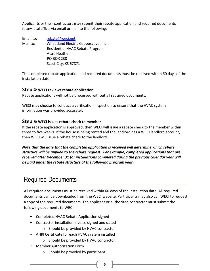Applicants or their contractors may submit their rebate application and required documents to any local office, via email or mail to the following:

Email to: rebate@weci.net Mail to: Wheatland Electric Cooperative, Inc. Residential HVAC Rebate Program Attn: Heather PO BOX 230 Scott City, KS 67871

The completed rebate application and required documents must be received within 60 days of the installation date.

#### **Step 4: WECI reviews rebate application**

Rebate applications will not be processed without all required documents.

WECI may choose to conduct a verification inspection to ensure that the HVAC system information was provided accurately.

#### **Step 5: WECI issues rebate check to member**

If the rebate application is approved, then WECI will issue a rebate check to the member within three to five weeks. If the house is being rented and the landlord has a WECI landlord account, then WECI will issue a rebate check to the landlord.

*Note that the date that the completed application is received will determine which rebate structure will be applied to the rebate request. For example, completed applications that are received after December 31 for installations completed during the previous calendar year will be paid under the rebate structure of the following program year.* 

# Required Documents

All required documents must be received within 60 days of the installation date. All required documents can be downloaded from the WECI website. Participants may also call WECI to request a copy of the required documents. The applicant or authorized contractor must submit the following documents to WECI:

- Completed HVAC Rebate Application signed
- Contractor installation invoice signed and dated
	- o Should be provided by HVAC contractor
- AHRI Certificate for each HVAC system installed
	- o Should be provided by HVAC contractor
- Member Authorization Form
	- $\circ$  Should be provided by participant<sup>1</sup>
		- $6 \quad \parallel$